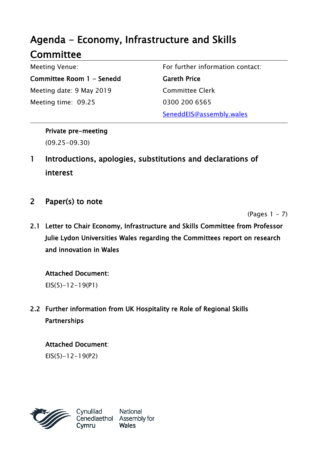# Agenda - Economy, Infrastructure and Skills **Committee**

Meeting Venue: Committee Room 1 - Senedd Meeting date: 9 May 2019 Meeting time: 09.25

For further information contact:

Gareth Price Committee Clerk 0300 200 6565 SeneddEIS@assembly.wales

Private pre-meeting (09.25-09.30)

- 1 Introductions, apologies, substitutions and declarations of interest
- 2 Paper(s) to note

 $(Paqes 1 - 7)$ 

2.1 Letter to Chair Economy, Infrastructure and Skills Committee from Professor Julie Lydon Universities Wales regarding the Committees report on research and innovation in Wales

Attached Document:

EIS(5)-12-19(P1)

2.2 Further information from UK Hospitality re Role of Regional Skills Partnerships

## Attached Document:

 $EIS(5)-12-19(P2)$ 

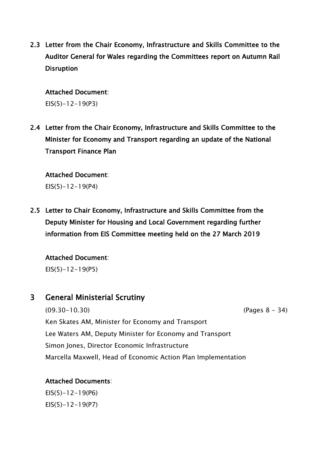2.3 Letter from the Chair Economy, Infrastructure and Skills Committee to the Auditor General for Wales regarding the Committees report on Autumn Rail **Disruption** 

#### Attached Document:

 $EIS(5)-12-19(P3)$ 

2.4 Letter from the Chair Economy, Infrastructure and Skills Committee to the Minister for Economy and Transport regarding an update of the National Transport Finance Plan

#### Attached Document:

 $EIS(5)-12-19(P4)$ 

2.5 Letter to Chair Economy, Infrastructure and Skills Committee from the Deputy Minister for Housing and Local Government regarding further information from EIS Committee meeting held on the 27 March 2019

Attached Document:  $EIS(5)-12-19(P5)$ 

### 3 General Ministerial Scrutiny

(09.30-10.30) (Pages 8 - 34) Ken Skates AM, Minister for Economy and Transport Lee Waters AM, Deputy Minister for Economy and Transport Simon Jones, Director Economic Infrastructure Marcella Maxwell, Head of Economic Action Plan Implementation

#### Attached Documents:

 $EIS(5)-12-19(P6)$  $EIS(5)-12-19(P7)$